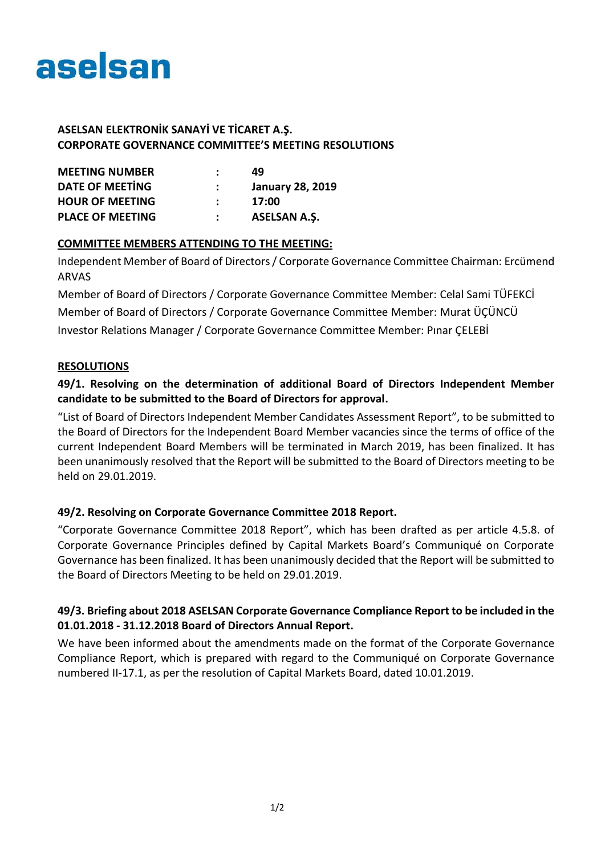

## **ASELSAN ELEKTRONİK SANAYİ VE TİCARET A.Ş. CORPORATE GOVERNANCE COMMITTEE'S MEETING RESOLUTIONS**

| <b>MEETING NUMBER</b><br><b>DATE OF MEETING</b><br><b>HOUR OF MEETING</b><br><b>PLACE OF MEETING</b> | 49<br><b>January 28, 2019</b><br>17:00 |              |
|------------------------------------------------------------------------------------------------------|----------------------------------------|--------------|
|                                                                                                      |                                        | ASELSAN A.Ş. |

### **COMMITTEE MEMBERS ATTENDING TO THE MEETING:**

Independent Member of Board of Directors / Corporate Governance Committee Chairman: Ercümend ARVAS

Member of Board of Directors / Corporate Governance Committee Member: Celal Sami TÜFEKCİ Member of Board of Directors / Corporate Governance Committee Member: Murat ÜÇÜNCÜ Investor Relations Manager / Corporate Governance Committee Member: Pınar ÇELEBİ

### **RESOLUTIONS**

# **49/1. Resolving on the determination of additional Board of Directors Independent Member candidate to be submitted to the Board of Directors for approval.**

"List of Board of Directors Independent Member Candidates Assessment Report", to be submitted to the Board of Directors for the Independent Board Member vacancies since the terms of office of the current Independent Board Members will be terminated in March 2019, has been finalized. It has been unanimously resolved that the Report will be submitted to the Board of Directors meeting to be held on 29.01.2019.

## **49/2. Resolving on Corporate Governance Committee 2018 Report.**

"Corporate Governance Committee 2018 Report", which has been drafted as per article 4.5.8. of Corporate Governance Principles defined by Capital Markets Board's Communiqué on Corporate Governance has been finalized. It has been unanimously decided that the Report will be submitted to the Board of Directors Meeting to be held on 29.01.2019.

## **49/3. Briefing about 2018 ASELSAN Corporate Governance Compliance Report to be included in the 01.01.2018 - 31.12.2018 Board of Directors Annual Report.**

We have been informed about the amendments made on the format of the Corporate Governance Compliance Report, which is prepared with regard to the Communiqué on Corporate Governance numbered II-17.1, as per the resolution of Capital Markets Board, dated 10.01.2019.